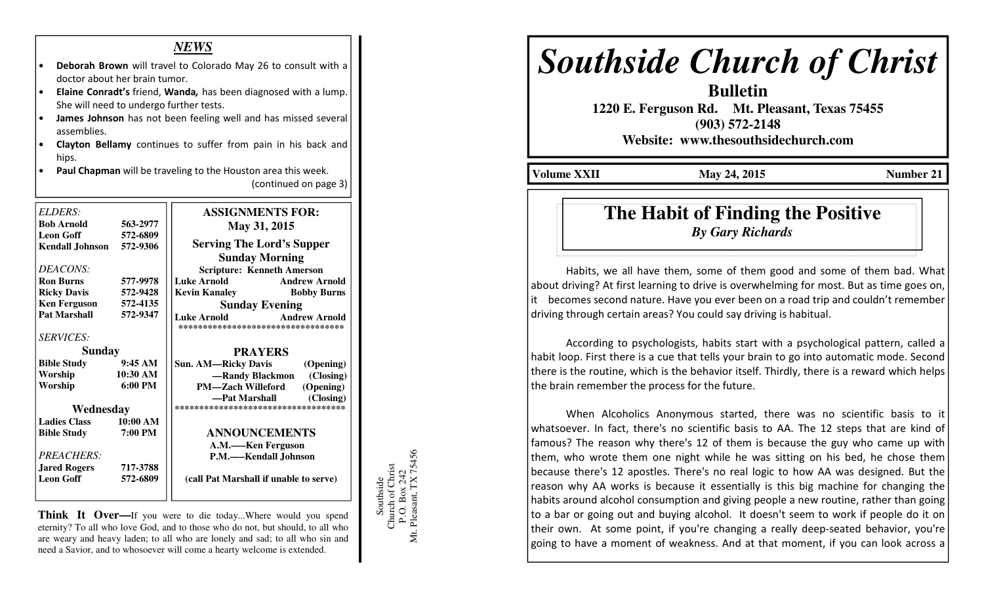### *NEWS*

- Deborah Brown will travel to Colorado May 26 to consult with a doctor about her brain tumor.
- Elaine Conradt's friend, Wanda, has been diagnosed with a lump. She will need to undergo further tests.
- James Johnson has not been feeling well and has missed several assemblies.
- Clayton Bellamy continues to suffer from pain in his back and hips.
- Paul Chapman will be traveling to the Houston area this week. (continued on page 3)

| <b>ELDERS:</b><br><b>Bob Arnold</b>   | 563-2977          | <b>ASSIGNMENTS FOR:</b><br>May 31, 2015                                          |
|---------------------------------------|-------------------|----------------------------------------------------------------------------------|
| Leon Goff<br>Kendall Johnson 572-9306 | 572-6809          | <b>Serving The Lord's Supper</b>                                                 |
|                                       |                   | <b>Sunday Morning</b>                                                            |
| DEACONS:                              |                   | <b>Scripture: Kenneth Amerson</b>                                                |
| <b>Ron Burns</b>                      | 577-9978          | Luke Arnold<br><b>Andrew Arnold</b>                                              |
| <b>Ricky Davis</b>                    | 572-9428          | <b>Kevin Kanaley</b><br><b>Bobby Burns</b>                                       |
| <b>Ken Ferguson</b>                   | 572-4135          | <b>Sunday Evening</b>                                                            |
| <b>Pat Marshall</b>                   | 572-9347          | <b>Andrew Arnold</b><br><b>Luke Arnold</b><br>********************************** |
| <b>SERVICES:</b>                      |                   |                                                                                  |
| <b>Sunday</b>                         |                   | <b>PRAYERS</b>                                                                   |
| <b>Bible Study</b>                    | 9:45AM            | <b>Sun. AM—Ricky Davis</b><br>(Opening)                                          |
| Worship                               | 10:30 AM          | -Randy Blackmon (Closing)                                                        |
| Worship                               | $6:00 \text{ PM}$ | <b>PM—Zach Willeford</b><br>(Opening)                                            |
|                                       |                   | (Closing)<br>—Pat Marshall                                                       |
| Wednesday                             |                   | ***********************************                                              |
| <b>Ladies Class</b>                   | 10:00 AM          |                                                                                  |
| <b>Bible Study</b>                    | 7:00 PM           | <b>ANNOUNCEMENTS</b>                                                             |
|                                       |                   | A.M.-Ken Ferguson                                                                |
| <b>PREACHERS:</b>                     |                   | P.M.—Kendall Johnson                                                             |
| <b>Jared Rogers</b>                   | 717-3788          |                                                                                  |
| <b>Leon Goff</b>                      | 572-6809          | (call Pat Marshall if unable to serve)                                           |
|                                       |                   |                                                                                  |

**Think It Over—If** you were to die today...Where would you spend eternity? To all who love God, and to those who do not, but should, to all who are weary and heavy laden; to all who are lonely and sad; to all who sin and need a Savior, and to whosoever will come a hearty welcome is extended.

Southside<br>Church of Christ<br>P.O. Box 242<br>Mt. Pleasant, TX 75456 Mt. Pleasant, TX 75456 Church of Christ P.O. Box 242 Southside

# *Southside Church of Christ*

**Bulletin** 

 **1220 E. Ferguson Rd. Mt. Pleasant, Texas 75455 (903) 572-2148** 

**Website: www.thesouthsidechurch.com** 

**Volume XXII** May 24, 2015 **Number 21** 

## **The Habit of Finding the Positive***By Gary Richards*

 Habits, we all have them, some of them good and some of them bad. What about driving? At first learning to drive is overwhelming for most. But as time goes on, it becomes second nature. Have you ever been on a road trip and couldn't remember driving through certain areas? You could say driving is habitual.

 According to psychologists, habits start with a psychological pattern, called a habit loop. First there is a cue that tells your brain to go into automatic mode. Second there is the routine, which is the behavior itself. Thirdly, there is a reward which helps the brain remember the process for the future.

 When Alcoholics Anonymous started, there was no scientific basis to it whatsoever. In fact, there's no scientific basis to AA. The 12 steps that are kind of famous? The reason why there's 12 of them is because the guy who came up with them, who wrote them one night while he was sitting on his bed, he chose them because there's 12 apostles. There's no real logic to how AA was designed. But the reason why AA works is because it essentially is this big machine for changing the habits around alcohol consumption and giving people a new routine, rather than going to a bar or going out and buying alcohol. It doesn't seem to work if people do it on their own. At some point, if you're changing a really deep-seated behavior, you're going to have a moment of weakness. And at that moment, if you can look across a